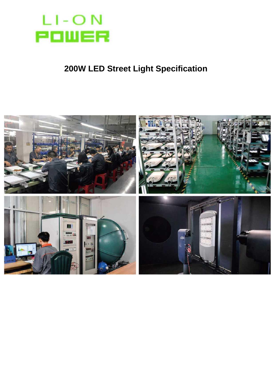

## **200W LED Street Light Specification**

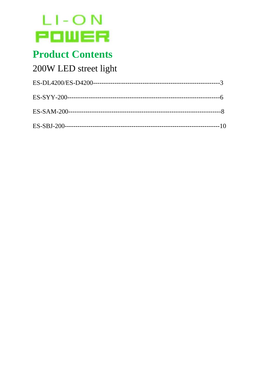

# **Product Contents**

## 200W LED street light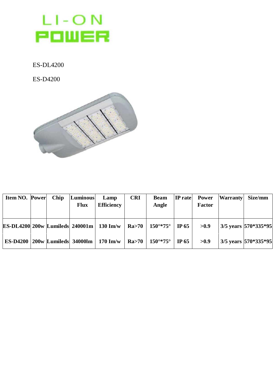

ES-DL4200

ES-D4200



| <b>Item NO. Power</b> | Chip | Luminous<br><b>Flux</b> | Lamp<br><b>Efficiency</b>                                                 | <b>CRI</b> | <b>Beam</b><br>Angle | $\left  \text{IP rate} \right $ | Power<br>Factor | Warranty Size/mm |                           |
|-----------------------|------|-------------------------|---------------------------------------------------------------------------|------------|----------------------|---------------------------------|-----------------|------------------|---------------------------|
|                       |      |                         | <b>ES-DL4200 200w Lumileds 240001m   130 Im/w   Ra&gt;70   150°*75°  </b> |            |                      | IP $65$                         | >0.9            |                  | 3/5 years 570*335*95      |
|                       |      |                         | <b>ES-D4200</b>   200w   Lumileds   34000lm   170 Im/w                    |            | Ra>70   150°*75°     | IP $65$                         | >0.9            |                  | $3/5$ years $ 570*335*95$ |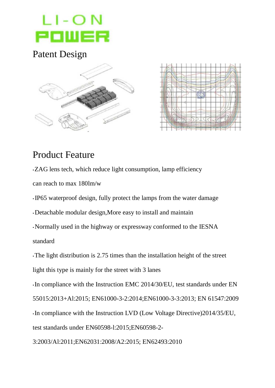

#### Patent Design





#### Product Feature

•ZAG lens tech, which reduce light consumption, lamp efficiency

can reach to max 180lm/w

• IP65 waterproof design, fully protect the lamps from the water damage

•Detachable modular design,More easy to install and maintain

•Normally used in the highway or expressway conformed to the IESNA standard

•The light distribution is 2.75 times than the installation height of the street light this type is mainly for the street with 3 lanes

•In compliance with the Instruction EMC 2014/30/EU, test standards under EN 55015:2013+Al:2015; EN61000-3-2:2014;EN61000-3-3:2013; EN 61547:2009 •In compliance with the Instruction LVD (Low Voltage Directive)2014/35/EU, test standards under EN60598-l:2015;EN60598-2-

3:2003/Al:2011;EN62031:2008/A2:2015; EN62493:2010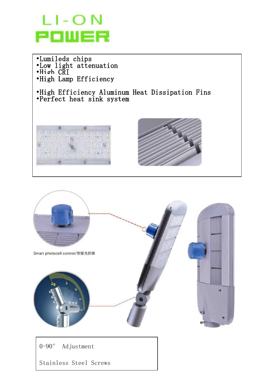



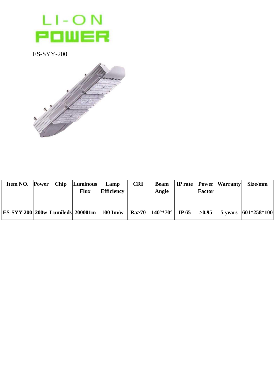

ES-SYY-200



| <b>Item NO. Power</b> | Chip | Luminous<br><b>Flux</b> | Lamp<br><b>Efficiency</b> | <b>CRI</b> | <b>Beam</b><br>Angle | <b>Factor</b> | IP rate   Power   Warranty | Size/mm                                                                                                |
|-----------------------|------|-------------------------|---------------------------|------------|----------------------|---------------|----------------------------|--------------------------------------------------------------------------------------------------------|
|                       |      |                         |                           |            |                      |               |                            | ES-SYY-200 200w Lumileds 200001m   100 Im/w   Ra>70   140°*70°   IP 65   >0.95   5 years   601*258*100 |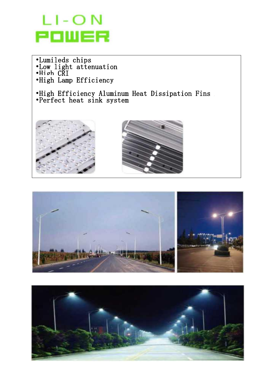

•Lumileds chips •Low light attenuation •High CRI •High Lamp Efficiency

•High Efficiency Aluminum Heat Dissipation Fins •Perfect heat sink system







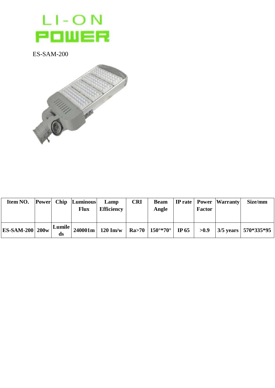

**ES-SAM-200** 



| <b>Item NO.</b> Power Chip Luminous |              |             | Lamp              | <b>CRI</b> |       |               | <b>Beam</b>   IP rate   Power   Warranty | <b>Size/mm</b>                                                                |
|-------------------------------------|--------------|-------------|-------------------|------------|-------|---------------|------------------------------------------|-------------------------------------------------------------------------------|
|                                     |              | <b>Flux</b> | <b>Efficiency</b> |            | Angle | <b>Factor</b> |                                          |                                                                               |
|                                     |              |             |                   |            |       |               |                                          |                                                                               |
| <b>ES-SAM-200   200w  </b>          | Lumile<br>ds |             |                   |            |       |               |                                          | 240001m   120 Im/w   Ra>70   150°*70°   IP 65   >0.9   3/5 years   570*335*95 |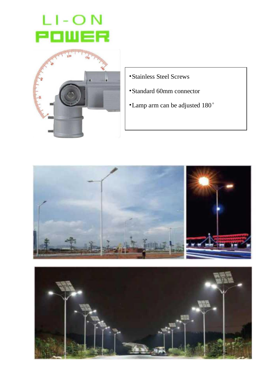



- •Stainless Steel Screws
- •Standard 60mm connector
- •Lamp arm can be adjusted 180°



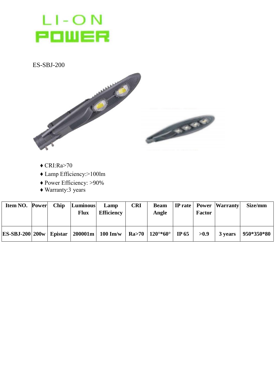# LI-ON<br>**POWER**

 $ES-SBJ-200$ 



- $\triangle$  CRI:Ra>70
- ◆ Lamp Efficiency:>100lm
- ◆ Power Efficiency: >90%
- $\triangle$  Warranty:3 years

| Item NO. Power Chip Luminous Lamp |  | <b>Flux</b> | <b>Efficiency</b>                                                         | <b>CRI</b> | <b>Beam</b><br>Angle | <b>Factor</b> | <b>IP</b> rate   Power   Warranty | Size/mm                |
|-----------------------------------|--|-------------|---------------------------------------------------------------------------|------------|----------------------|---------------|-----------------------------------|------------------------|
|                                   |  |             | ES-SBJ-200 200w   Epistar   200001m   100 Im/w   Ra>70   120°*60°   IP 65 |            |                      | >0.9          |                                   | 3 years   $950*350*80$ |